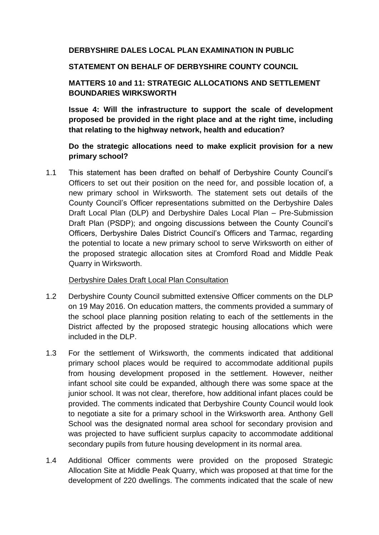### **DERBYSHIRE DALES LOCAL PLAN EXAMINATION IN PUBLIC**

#### **STATEMENT ON BEHALF OF DERBYSHIRE COUNTY COUNCIL**

# **MATTERS 10 and 11: STRATEGIC ALLOCATIONS AND SETTLEMENT BOUNDARIES WIRKSWORTH**

**Issue 4: Will the infrastructure to support the scale of development proposed be provided in the right place and at the right time, including that relating to the highway network, health and education?**

# **Do the strategic allocations need to make explicit provision for a new primary school?**

1.1 This statement has been drafted on behalf of Derbyshire County Council's Officers to set out their position on the need for, and possible location of, a new primary school in Wirksworth. The statement sets out details of the County Council's Officer representations submitted on the Derbyshire Dales Draft Local Plan (DLP) and Derbyshire Dales Local Plan – Pre-Submission Draft Plan (PSDP); and ongoing discussions between the County Council's Officers, Derbyshire Dales District Council's Officers and Tarmac, regarding the potential to locate a new primary school to serve Wirksworth on either of the proposed strategic allocation sites at Cromford Road and Middle Peak Quarry in Wirksworth.

#### Derbyshire Dales Draft Local Plan Consultation

- 1.2 Derbyshire County Council submitted extensive Officer comments on the DLP on 19 May 2016. On education matters, the comments provided a summary of the school place planning position relating to each of the settlements in the District affected by the proposed strategic housing allocations which were included in the DLP.
- 1.3 For the settlement of Wirksworth, the comments indicated that additional primary school places would be required to accommodate additional pupils from housing development proposed in the settlement. However, neither infant school site could be expanded, although there was some space at the junior school. It was not clear, therefore, how additional infant places could be provided. The comments indicated that Derbyshire County Council would look to negotiate a site for a primary school in the Wirksworth area. Anthony Gell School was the designated normal area school for secondary provision and was projected to have sufficient surplus capacity to accommodate additional secondary pupils from future housing development in its normal area.
- 1.4 Additional Officer comments were provided on the proposed Strategic Allocation Site at Middle Peak Quarry, which was proposed at that time for the development of 220 dwellings. The comments indicated that the scale of new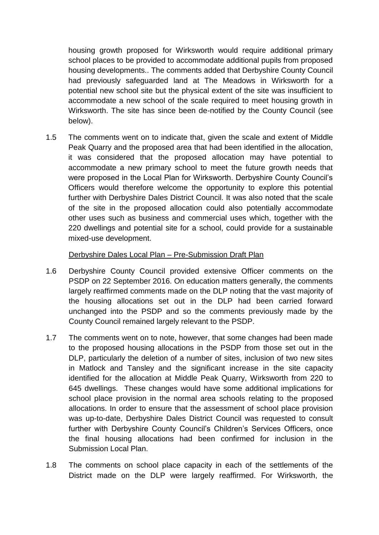housing growth proposed for Wirksworth would require additional primary school places to be provided to accommodate additional pupils from proposed housing developments.. The comments added that Derbyshire County Council had previously safeguarded land at The Meadows in Wirksworth for a potential new school site but the physical extent of the site was insufficient to accommodate a new school of the scale required to meet housing growth in Wirksworth. The site has since been de-notified by the County Council (see below).

1.5 The comments went on to indicate that, given the scale and extent of Middle Peak Quarry and the proposed area that had been identified in the allocation, it was considered that the proposed allocation may have potential to accommodate a new primary school to meet the future growth needs that were proposed in the Local Plan for Wirksworth. Derbyshire County Council's Officers would therefore welcome the opportunity to explore this potential further with Derbyshire Dales District Council. It was also noted that the scale of the site in the proposed allocation could also potentially accommodate other uses such as business and commercial uses which, together with the 220 dwellings and potential site for a school, could provide for a sustainable mixed-use development.

Derbyshire Dales Local Plan – Pre-Submission Draft Plan

- 1.6 Derbyshire County Council provided extensive Officer comments on the PSDP on 22 September 2016. On education matters generally, the comments largely reaffirmed comments made on the DLP noting that the vast majority of the housing allocations set out in the DLP had been carried forward unchanged into the PSDP and so the comments previously made by the County Council remained largely relevant to the PSDP.
- 1.7 The comments went on to note, however, that some changes had been made to the proposed housing allocations in the PSDP from those set out in the DLP, particularly the deletion of a number of sites, inclusion of two new sites in Matlock and Tansley and the significant increase in the site capacity identified for the allocation at Middle Peak Quarry, Wirksworth from 220 to 645 dwellings. These changes would have some additional implications for school place provision in the normal area schools relating to the proposed allocations. In order to ensure that the assessment of school place provision was up-to-date, Derbyshire Dales District Council was requested to consult further with Derbyshire County Council's Children's Services Officers, once the final housing allocations had been confirmed for inclusion in the Submission Local Plan.
- 1.8 The comments on school place capacity in each of the settlements of the District made on the DLP were largely reaffirmed. For Wirksworth, the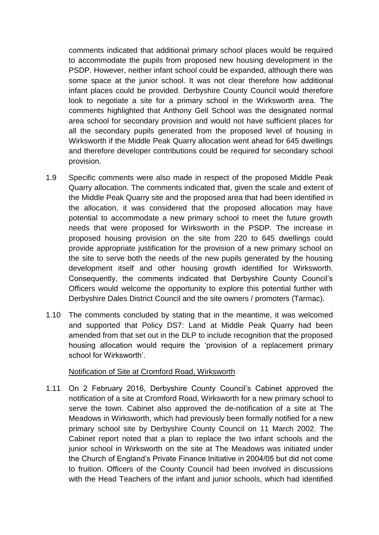comments indicated that additional primary school places would be required to accommodate the pupils from proposed new housing development in the PSDP. However, neither infant school could be expanded, although there was some space at the junior school. It was not clear therefore how additional infant places could be provided. Derbyshire County Council would therefore look to negotiate a site for a primary school in the Wirksworth area. The comments highlighted that Anthony Gell School was the designated normal area school for secondary provision and would not have sufficient places for all the secondary pupils generated from the proposed level of housing in Wirksworth if the Middle Peak Quarry allocation went ahead for 645 dwellings and therefore developer contributions could be required for secondary school provision.

- 1.9 Specific comments were also made in respect of the proposed Middle Peak Quarry allocation. The comments indicated that, given the scale and extent of the Middle Peak Quarry site and the proposed area that had been identified in the allocation, it was considered that the proposed allocation may have potential to accommodate a new primary school to meet the future growth needs that were proposed for Wirksworth in the PSDP. The increase in proposed housing provision on the site from 220 to 645 dwellings could provide appropriate justification for the provision of a new primary school on the site to serve both the needs of the new pupils generated by the housing development itself and other housing growth identified for Wirksworth. Consequently, the comments indicated that Derbyshire County Council's Officers would welcome the opportunity to explore this potential further with Derbyshire Dales District Council and the site owners / promoters (Tarmac).
- 1.10 The comments concluded by stating that in the meantime, it was welcomed and supported that Policy DS7: Land at Middle Peak Quarry had been amended from that set out in the DLP to include recognition that the proposed housing allocation would require the 'provision of a replacement primary school for Wirksworth'.

#### Notification of Site at Cromford Road, Wirksworth

1.11 On 2 February 2016, Derbyshire County Council's Cabinet approved the notification of a site at Cromford Road, Wirksworth for a new primary school to serve the town. Cabinet also approved the de-notification of a site at The Meadows in Wirksworth, which had previously been formally notified for a new primary school site by Derbyshire County Council on 11 March 2002. The Cabinet report noted that a plan to replace the two infant schools and the junior school in Wirksworth on the site at The Meadows was initiated under the Church of England's Private Finance Initiative in 2004/05 but did not come to fruition. Officers of the County Council had been involved in discussions with the Head Teachers of the infant and junior schools, which had identified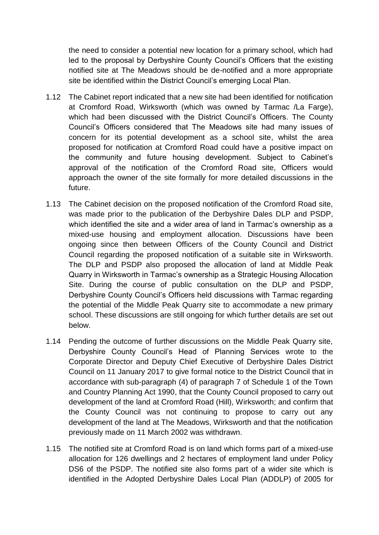the need to consider a potential new location for a primary school, which had led to the proposal by Derbyshire County Council's Officers that the existing notified site at The Meadows should be de-notified and a more appropriate site be identified within the District Council's emerging Local Plan.

- 1.12 The Cabinet report indicated that a new site had been identified for notification at Cromford Road, Wirksworth (which was owned by Tarmac /La Farge), which had been discussed with the District Council's Officers. The County Council's Officers considered that The Meadows site had many issues of concern for its potential development as a school site, whilst the area proposed for notification at Cromford Road could have a positive impact on the community and future housing development. Subject to Cabinet's approval of the notification of the Cromford Road site, Officers would approach the owner of the site formally for more detailed discussions in the future.
- 1.13 The Cabinet decision on the proposed notification of the Cromford Road site, was made prior to the publication of the Derbyshire Dales DLP and PSDP, which identified the site and a wider area of land in Tarmac's ownership as a mixed-use housing and employment allocation. Discussions have been ongoing since then between Officers of the County Council and District Council regarding the proposed notification of a suitable site in Wirksworth. The DLP and PSDP also proposed the allocation of land at Middle Peak Quarry in Wirksworth in Tarmac's ownership as a Strategic Housing Allocation Site. During the course of public consultation on the DLP and PSDP, Derbyshire County Council's Officers held discussions with Tarmac regarding the potential of the Middle Peak Quarry site to accommodate a new primary school. These discussions are still ongoing for which further details are set out below.
- 1.14 Pending the outcome of further discussions on the Middle Peak Quarry site, Derbyshire County Council's Head of Planning Services wrote to the Corporate Director and Deputy Chief Executive of Derbyshire Dales District Council on 11 January 2017 to give formal notice to the District Council that in accordance with sub-paragraph (4) of paragraph 7 of Schedule 1 of the Town and Country Planning Act 1990, that the County Council proposed to carry out development of the land at Cromford Road (Hill), Wirksworth; and confirm that the County Council was not continuing to propose to carry out any development of the land at The Meadows, Wirksworth and that the notification previously made on 11 March 2002 was withdrawn.
- 1.15 The notified site at Cromford Road is on land which forms part of a mixed-use allocation for 126 dwellings and 2 hectares of employment land under Policy DS6 of the PSDP. The notified site also forms part of a wider site which is identified in the Adopted Derbyshire Dales Local Plan (ADDLP) of 2005 for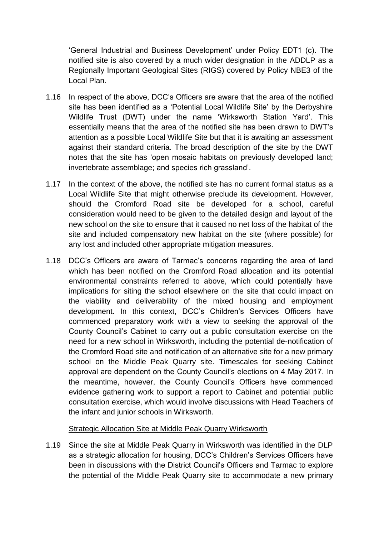'General Industrial and Business Development' under Policy EDT1 (c). The notified site is also covered by a much wider designation in the ADDLP as a Regionally Important Geological Sites (RIGS) covered by Policy NBE3 of the Local Plan.

- 1.16 In respect of the above, DCC's Officers are aware that the area of the notified site has been identified as a 'Potential Local Wildlife Site' by the Derbyshire Wildlife Trust (DWT) under the name 'Wirksworth Station Yard'. This essentially means that the area of the notified site has been drawn to DWT's attention as a possible Local Wildlife Site but that it is awaiting an assessment against their standard criteria. The broad description of the site by the DWT notes that the site has 'open mosaic habitats on previously developed land; invertebrate assemblage; and species rich grassland'.
- 1.17 In the context of the above, the notified site has no current formal status as a Local Wildlife Site that might otherwise preclude its development. However, should the Cromford Road site be developed for a school, careful consideration would need to be given to the detailed design and layout of the new school on the site to ensure that it caused no net loss of the habitat of the site and included compensatory new habitat on the site (where possible) for any lost and included other appropriate mitigation measures.
- 1.18 DCC's Officers are aware of Tarmac's concerns regarding the area of land which has been notified on the Cromford Road allocation and its potential environmental constraints referred to above, which could potentially have implications for siting the school elsewhere on the site that could impact on the viability and deliverability of the mixed housing and employment development. In this context, DCC's Children's Services Officers have commenced preparatory work with a view to seeking the approval of the County Council's Cabinet to carry out a public consultation exercise on the need for a new school in Wirksworth, including the potential de-notification of the Cromford Road site and notification of an alternative site for a new primary school on the Middle Peak Quarry site. Timescales for seeking Cabinet approval are dependent on the County Council's elections on 4 May 2017. In the meantime, however, the County Council's Officers have commenced evidence gathering work to support a report to Cabinet and potential public consultation exercise, which would involve discussions with Head Teachers of the infant and junior schools in Wirksworth.

#### Strategic Allocation Site at Middle Peak Quarry Wirksworth

1.19 Since the site at Middle Peak Quarry in Wirksworth was identified in the DLP as a strategic allocation for housing, DCC's Children's Services Officers have been in discussions with the District Council's Officers and Tarmac to explore the potential of the Middle Peak Quarry site to accommodate a new primary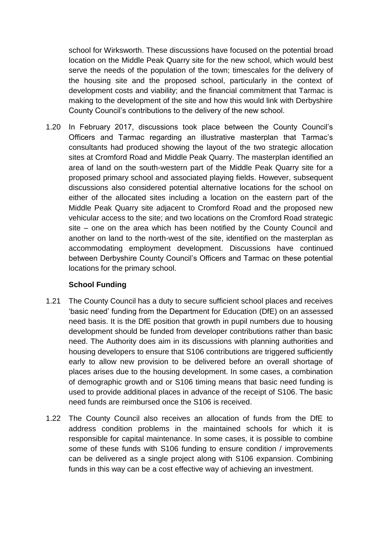school for Wirksworth. These discussions have focused on the potential broad location on the Middle Peak Quarry site for the new school, which would best serve the needs of the population of the town; timescales for the delivery of the housing site and the proposed school, particularly in the context of development costs and viability; and the financial commitment that Tarmac is making to the development of the site and how this would link with Derbyshire County Council's contributions to the delivery of the new school.

1.20 In February 2017, discussions took place between the County Council's Officers and Tarmac regarding an illustrative masterplan that Tarmac's consultants had produced showing the layout of the two strategic allocation sites at Cromford Road and Middle Peak Quarry. The masterplan identified an area of land on the south-western part of the Middle Peak Quarry site for a proposed primary school and associated playing fields. However, subsequent discussions also considered potential alternative locations for the school on either of the allocated sites including a location on the eastern part of the Middle Peak Quarry site adjacent to Cromford Road and the proposed new vehicular access to the site; and two locations on the Cromford Road strategic site – one on the area which has been notified by the County Council and another on land to the north-west of the site, identified on the masterplan as accommodating employment development. Discussions have continued between Derbyshire County Council's Officers and Tarmac on these potential locations for the primary school.

# **School Funding**

- 1.21 The County Council has a duty to secure sufficient school places and receives 'basic need' funding from the Department for Education (DfE) on an assessed need basis. It is the DfE position that growth in pupil numbers due to housing development should be funded from developer contributions rather than basic need. The Authority does aim in its discussions with planning authorities and housing developers to ensure that S106 contributions are triggered sufficiently early to allow new provision to be delivered before an overall shortage of places arises due to the housing development. In some cases, a combination of demographic growth and or S106 timing means that basic need funding is used to provide additional places in advance of the receipt of S106. The basic need funds are reimbursed once the S106 is received.
- 1.22 The County Council also receives an allocation of funds from the DfE to address condition problems in the maintained schools for which it is responsible for capital maintenance. In some cases, it is possible to combine some of these funds with S106 funding to ensure condition / improvements can be delivered as a single project along with S106 expansion. Combining funds in this way can be a cost effective way of achieving an investment.